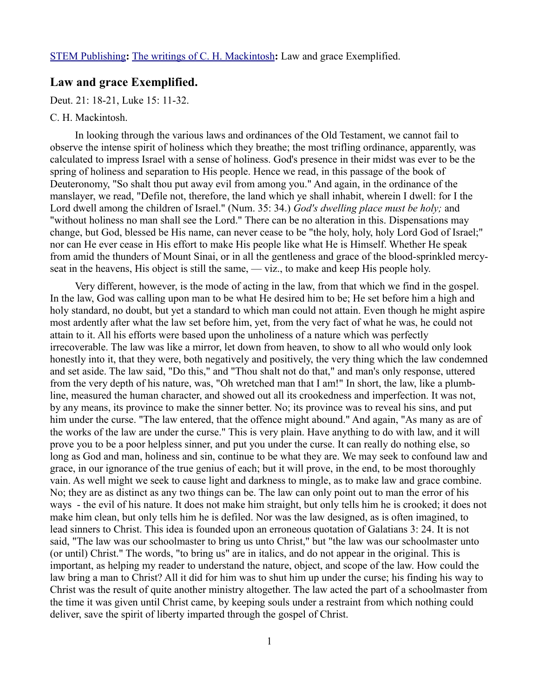## **Law and grace Exemplified.**

Deut. 21: 18-21, Luke 15: 11-32.

## C. H. Mackintosh.

In looking through the various laws and ordinances of the Old Testament, we cannot fail to observe the intense spirit of holiness which they breathe; the most trifling ordinance, apparently, was calculated to impress Israel with a sense of holiness. God's presence in their midst was ever to be the spring of holiness and separation to His people. Hence we read, in this passage of the book of Deuteronomy, "So shalt thou put away evil from among you." And again, in the ordinance of the manslayer, we read, "Defile not, therefore, the land which ye shall inhabit, wherein I dwell: for I the Lord dwell among the children of Israel." (Num. 35: 34.) *God's dwelling place must be holy;* and "without holiness no man shall see the Lord." There can be no alteration in this. Dispensations may change, but God, blessed be His name, can never cease to be "the holy, holy, holy Lord God of Israel;" nor can He ever cease in His effort to make His people like what He is Himself. Whether He speak from amid the thunders of Mount Sinai, or in all the gentleness and grace of the blood-sprinkled mercyseat in the heavens, His object is still the same, — viz., to make and keep His people holy.

Very different, however, is the mode of acting in the law, from that which we find in the gospel. In the law, God was calling upon man to be what He desired him to be; He set before him a high and holy standard, no doubt, but yet a standard to which man could not attain. Even though he might aspire most ardently after what the law set before him, yet, from the very fact of what he was, he could not attain to it. All his efforts were based upon the unholiness of a nature which was perfectly irrecoverable. The law was like a mirror, let down from heaven, to show to all who would only look honestly into it, that they were, both negatively and positively, the very thing which the law condemned and set aside. The law said, "Do this," and "Thou shalt not do that," and man's only response, uttered from the very depth of his nature, was, "Oh wretched man that I am!" In short, the law, like a plumbline, measured the human character, and showed out all its crookedness and imperfection. It was not, by any means, its province to make the sinner better. No; its province was to reveal his sins, and put him under the curse. "The law entered, that the offence might abound." And again, "As many as are of the works of the law are under the curse." This is very plain. Have anything to do with law, and it will prove you to be a poor helpless sinner, and put you under the curse. It can really do nothing else, so long as God and man, holiness and sin, continue to be what they are. We may seek to confound law and grace, in our ignorance of the true genius of each; but it will prove, in the end, to be most thoroughly vain. As well might we seek to cause light and darkness to mingle, as to make law and grace combine. No; they are as distinct as any two things can be. The law can only point out to man the error of his ways - the evil of his nature. It does not make him straight, but only tells him he is crooked; it does not make him clean, but only tells him he is defiled. Nor was the law designed, as is often imagined, to lead sinners to Christ. This idea is founded upon an erroneous quotation of Galatians 3: 24. It is not said, "The law was our schoolmaster to bring us unto Christ," but "the law was our schoolmaster unto (or until) Christ." The words, "to bring us" are in italics, and do not appear in the original. This is important, as helping my reader to understand the nature, object, and scope of the law. How could the law bring a man to Christ? All it did for him was to shut him up under the curse; his finding his way to Christ was the result of quite another ministry altogether. The law acted the part of a schoolmaster from the time it was given until Christ came, by keeping souls under a restraint from which nothing could deliver, save the spirit of liberty imparted through the gospel of Christ.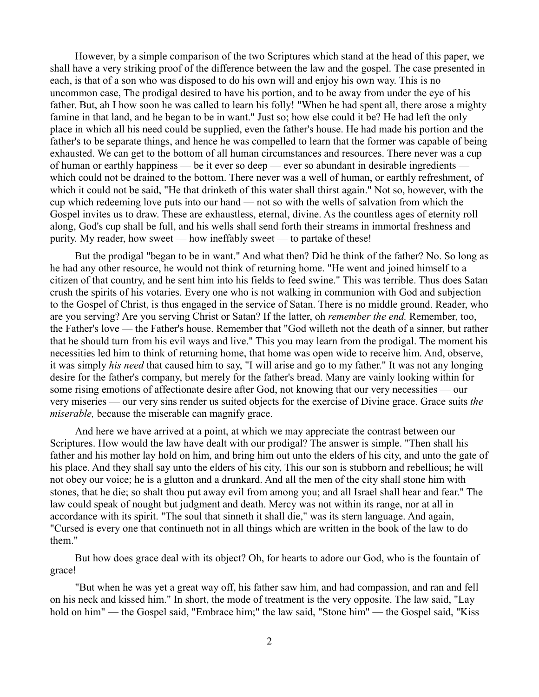However, by a simple comparison of the two Scriptures which stand at the head of this paper, we shall have a very striking proof of the difference between the law and the gospel. The case presented in each, is that of a son who was disposed to do his own will and enjoy his own way. This is no uncommon case, The prodigal desired to have his portion, and to be away from under the eye of his father. But, ah I how soon he was called to learn his folly! "When he had spent all, there arose a mighty famine in that land, and he began to be in want." Just so; how else could it be? He had left the only place in which all his need could be supplied, even the father's house. He had made his portion and the father's to be separate things, and hence he was compelled to learn that the former was capable of being exhausted. We can get to the bottom of all human circumstances and resources. There never was a cup of human or earthly happiness — be it ever so deep — ever so abundant in desirable ingredients which could not be drained to the bottom. There never was a well of human, or earthly refreshment, of which it could not be said, "He that drinketh of this water shall thirst again." Not so, however, with the cup which redeeming love puts into our hand — not so with the wells of salvation from which the Gospel invites us to draw. These are exhaustless, eternal, divine. As the countless ages of eternity roll along, God's cup shall be full, and his wells shall send forth their streams in immortal freshness and purity. My reader, how sweet — how ineffably sweet — to partake of these!

But the prodigal "began to be in want." And what then? Did he think of the father? No. So long as he had any other resource, he would not think of returning home. "He went and joined himself to a citizen of that country, and he sent him into his fields to feed swine." This was terrible. Thus does Satan crush the spirits of his votaries. Every one who is not walking in communion with God and subjection to the Gospel of Christ, is thus engaged in the service of Satan. There is no middle ground. Reader, who are you serving? Are you serving Christ or Satan? If the latter, oh *remember the end.* Remember, too, the Father's love — the Father's house. Remember that "God willeth not the death of a sinner, but rather that he should turn from his evil ways and live." This you may learn from the prodigal. The moment his necessities led him to think of returning home, that home was open wide to receive him. And, observe, it was simply *his need* that caused him to say, "I will arise and go to my father." It was not any longing desire for the father's company, but merely for the father's bread. Many are vainly looking within for some rising emotions of affectionate desire after God, not knowing that our very necessities — our very miseries — our very sins render us suited objects for the exercise of Divine grace. Grace suits *the miserable,* because the miserable can magnify grace.

And here we have arrived at a point, at which we may appreciate the contrast between our Scriptures. How would the law have dealt with our prodigal? The answer is simple. "Then shall his father and his mother lay hold on him, and bring him out unto the elders of his city, and unto the gate of his place. And they shall say unto the elders of his city, This our son is stubborn and rebellious; he will not obey our voice; he is a glutton and a drunkard. And all the men of the city shall stone him with stones, that he die; so shalt thou put away evil from among you; and all Israel shall hear and fear." The law could speak of nought but judgment and death. Mercy was not within its range, nor at all in accordance with its spirit. "The soul that sinneth it shall die," was its stern language. And again, "Cursed is every one that continueth not in all things which are written in the book of the law to do them."

But how does grace deal with its object? Oh, for hearts to adore our God, who is the fountain of grace!

"But when he was yet a great way off, his father saw him, and had compassion, and ran and fell on his neck and kissed him." In short, the mode of treatment is the very opposite. The law said, "Lay hold on him" — the Gospel said, "Embrace him;" the law said, "Stone him" — the Gospel said, "Kiss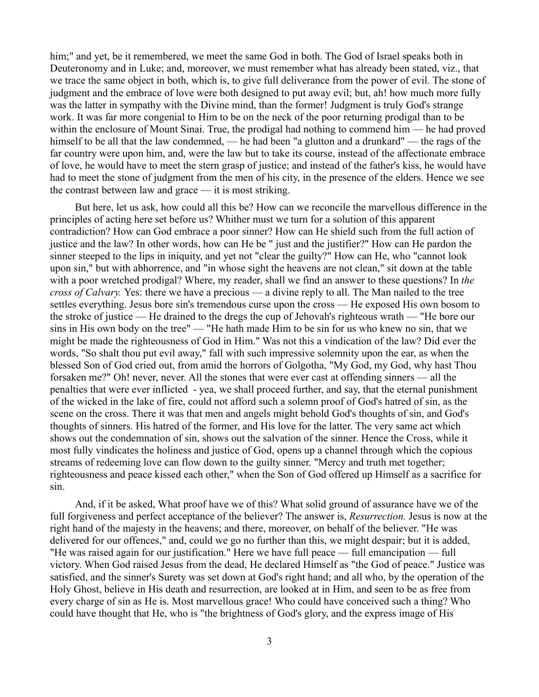him;" and yet, be it remembered, we meet the same God in both. The God of Israel speaks both in Deuteronomy and in Luke; and, moreover, we must remember what has already been stated, viz., that we trace the same object in both, which is, to give full deliverance from the power of evil. The stone of judgment and the embrace of love were both designed to put away evil; but, ah! how much more fully was the latter in sympathy with the Divine mind, than the former! Judgment is truly God's strange work. It was far more congenial to Him to be on the neck of the poor returning prodigal than to be within the enclosure of Mount Sinai. True, the prodigal had nothing to commend him — he had proved himself to be all that the law condemned, — he had been "a glutton and a drunkard" — the rags of the far country were upon him, and, were the law but to take its course, instead of the affectionate embrace of love, he would have to meet the stern grasp of justice; and instead of the father's kiss, he would have had to meet the stone of judgment from the men of his city, in the presence of the elders. Hence we see the contrast between law and grace — it is most striking.

But here, let us ask, how could all this be? How can we reconcile the marvellous difference in the principles of acting here set before us? Whither must we turn for a solution of this apparent contradiction? How can God embrace a poor sinner? How can He shield such from the full action of justice and the law? In other words, how can He be " just and the justifier?" How can He pardon the sinner steeped to the lips in iniquity, and yet not "clear the guilty?" How can He, who "cannot look upon sin," but with abhorrence, and "in whose sight the heavens are not clean," sit down at the table with a poor wretched prodigal? Where, my reader, shall we find an answer to these questions? In *the cross of Calvary.* Yes: there we have a precious — a divine reply to all. The Man nailed to the tree settles everything. Jesus bore sin's tremendous curse upon the cross — He exposed His own bosom to the stroke of justice — He drained to the dregs the cup of Jehovah's righteous wrath — "He bore our sins in His own body on the tree" — "He hath made Him to be sin for us who knew no sin, that we might be made the righteousness of God in Him." Was not this a vindication of the law? Did ever the words, "So shalt thou put evil away," fall with such impressive solemnity upon the ear, as when the blessed Son of God cried out, from amid the horrors of Golgotha, "My God, my God, why hast Thou forsaken me?" Oh! never, never. All the stones that were ever cast at offending sinners — all the penalties that were ever inflicted - yea, we shall proceed further, and say, that the eternal punishment of the wicked in the lake of fire, could not afford such a solemn proof of God's hatred of sin, as the scene on the cross. There it was that men and angels might behold God's thoughts of sin, and God's thoughts of sinners. His hatred of the former, and His love for the latter. The very same act which shows out the condemnation of sin, shows out the salvation of the sinner. Hence the Cross, while it most fully vindicates the holiness and justice of God, opens up a channel through which the copious streams of redeeming love can flow down to the guilty sinner. "Mercy and truth met together; righteousness and peace kissed each other," when the Son of God offered up Himself as a sacrifice for sin.

And, if it be asked, What proof have we of this? What solid ground of assurance have we of the full forgiveness and perfect acceptance of the believer? The answer is, *Resurrection.* Jesus is now at the right hand of the majesty in the heavens; and there, moreover, on behalf of the believer. "He was delivered for our offences," and, could we go no further than this, we might despair; but it is added, "He was raised again for our justification." Here we have full peace — full emancipation — full victory. When God raised Jesus from the dead, He declared Himself as "the God of peace." Justice was satisfied, and the sinner's Surety was set down at God's right hand; and all who, by the operation of the Holy Ghost, believe in His death and resurrection, are looked at in Him, and seen to be as free from every charge of sin as He is. Most marvellous grace! Who could have conceived such a thing? Who could have thought that He, who is "the brightness of God's glory, and the express image of His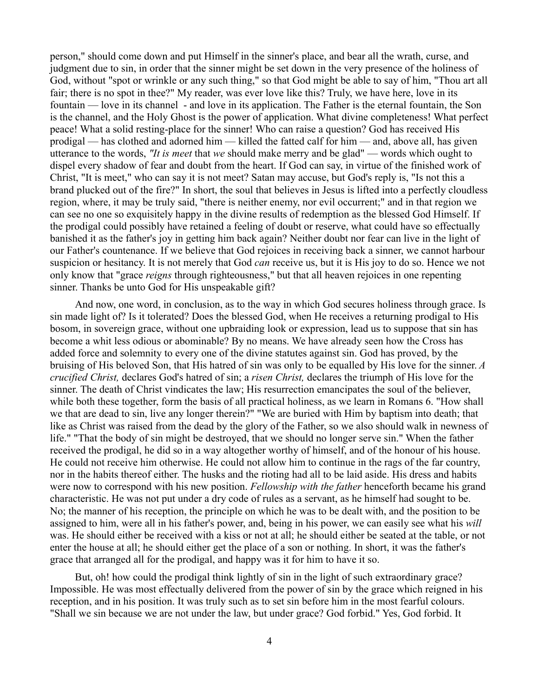person," should come down and put Himself in the sinner's place, and bear all the wrath, curse, and judgment due to sin, in order that the sinner might be set down in the very presence of the holiness of God, without "spot or wrinkle or any such thing," so that God might be able to say of him, "Thou art all fair; there is no spot in thee?" My reader, was ever love like this? Truly, we have here, love in its fountain — love in its channel - and love in its application. The Father is the eternal fountain, the Son is the channel, and the Holy Ghost is the power of application. What divine completeness! What perfect peace! What a solid resting-place for the sinner! Who can raise a question? God has received His prodigal — has clothed and adorned him — killed the fatted calf for him — and, above all, has given utterance to the words, *"It is meet* that *we* should make merry and be glad" — words which ought to dispel every shadow of fear and doubt from the heart. If God can say, in virtue of the finished work of Christ, "It is meet," who can say it is not meet? Satan may accuse, but God's reply is, "Is not this a brand plucked out of the fire?" In short, the soul that believes in Jesus is lifted into a perfectly cloudless region, where, it may be truly said, "there is neither enemy, nor evil occurrent;" and in that region we can see no one so exquisitely happy in the divine results of redemption as the blessed God Himself. If the prodigal could possibly have retained a feeling of doubt or reserve, what could have so effectually banished it as the father's joy in getting him back again? Neither doubt nor fear can live in the light of our Father's countenance. If we believe that God rejoices in receiving back a sinner, we cannot harbour suspicion or hesitancy. It is not merely that God *can* receive us, but it is His joy to do so. Hence we not only know that "grace *reigns* through righteousness," but that all heaven rejoices in one repenting sinner. Thanks be unto God for His unspeakable gift?

And now, one word, in conclusion, as to the way in which God secures holiness through grace. Is sin made light of? Is it tolerated? Does the blessed God, when He receives a returning prodigal to His bosom, in sovereign grace, without one upbraiding look or expression, lead us to suppose that sin has become a whit less odious or abominable? By no means. We have already seen how the Cross has added force and solemnity to every one of the divine statutes against sin. God has proved, by the bruising of His beloved Son, that His hatred of sin was only to be equalled by His love for the sinner. *A crucified Christ,* declares God's hatred of sin; a *risen Christ,* declares the triumph of His love for the sinner. The death of Christ vindicates the law; His resurrection emancipates the soul of the believer, while both these together, form the basis of all practical holiness, as we learn in Romans 6. "How shall we that are dead to sin, live any longer therein?" "We are buried with Him by baptism into death; that like as Christ was raised from the dead by the glory of the Father, so we also should walk in newness of life." "That the body of sin might be destroyed, that we should no longer serve sin." When the father received the prodigal, he did so in a way altogether worthy of himself, and of the honour of his house. He could not receive him otherwise. He could not allow him to continue in the rags of the far country, nor in the habits thereof either. The husks and the rioting had all to be laid aside. His dress and habits were now to correspond with his new position. *Fellowship with the father* henceforth became his grand characteristic. He was not put under a dry code of rules as a servant, as he himself had sought to be. No; the manner of his reception, the principle on which he was to be dealt with, and the position to be assigned to him, were all in his father's power, and, being in his power, we can easily see what his *will* was. He should either be received with a kiss or not at all; he should either be seated at the table, or not enter the house at all; he should either get the place of a son or nothing. In short, it was the father's grace that arranged all for the prodigal, and happy was it for him to have it so.

But, oh! how could the prodigal think lightly of sin in the light of such extraordinary grace? Impossible. He was most effectually delivered from the power of sin by the grace which reigned in his reception, and in his position. It was truly such as to set sin before him in the most fearful colours. "Shall we sin because we are not under the law, but under grace? God forbid." Yes, God forbid. It